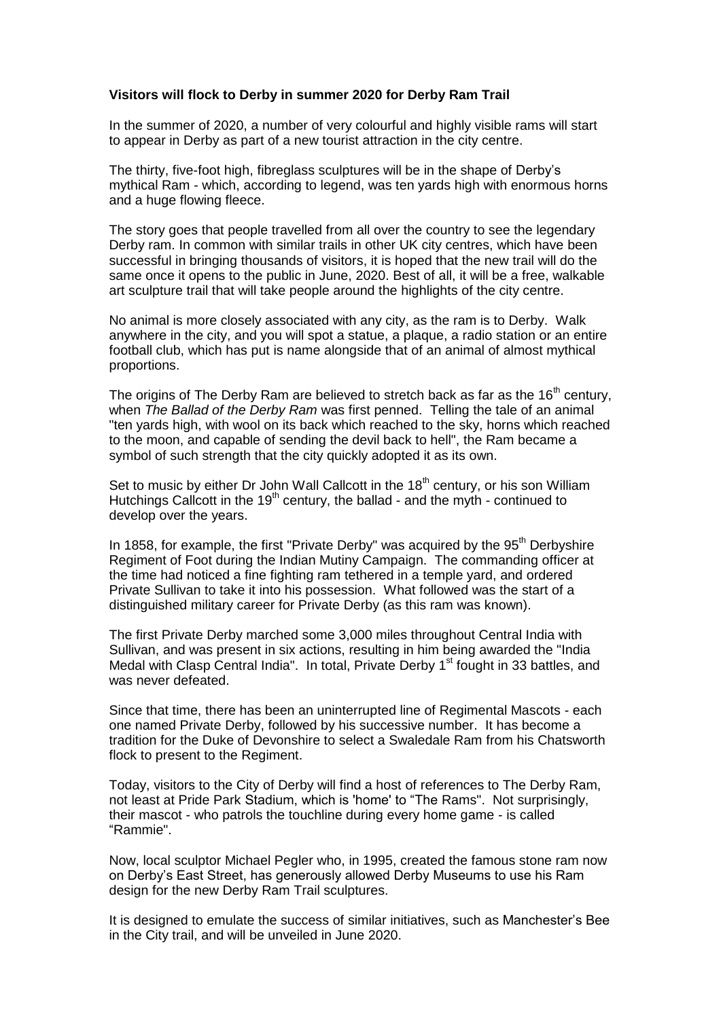## **Visitors will flock to Derby in summer 2020 for Derby Ram Trail**

In the summer of 2020, a number of very colourful and highly visible rams will start to appear in Derby as part of a new tourist attraction in the city centre.

The thirty, five-foot high, fibreglass sculptures will be in the shape of Derby's mythical Ram - which, according to legend, was ten yards high with enormous horns and a huge flowing fleece.

The story goes that people travelled from all over the country to see the legendary Derby ram. In common with similar trails in other UK city centres, which have been successful in bringing thousands of visitors, it is hoped that the new trail will do the same once it opens to the public in June, 2020. Best of all, it will be a free, walkable art sculpture trail that will take people around the highlights of the city centre.

No animal is more closely associated with any city, as the ram is to Derby. Walk anywhere in the city, and you will spot a statue, a plaque, a radio station or an entire football club, which has put is name alongside that of an animal of almost mythical proportions.

The origins of The Derby Ram are believed to stretch back as far as the  $16<sup>th</sup>$  century, when *The Ballad of the Derby Ram* was first penned. Telling the tale of an animal "ten yards high, with wool on its back which reached to the sky, horns which reached to the moon, and capable of sending the devil back to hell", the Ram became a symbol of such strength that the city quickly adopted it as its own.

Set to music by either Dr John Wall Callcott in the  $18<sup>th</sup>$  century, or his son William Hutchings Callcott in the 19<sup>th</sup> century, the ballad - and the myth - continued to develop over the years.

In 1858, for example, the first "Private Derby" was acquired by the  $95<sup>th</sup>$  Derbyshire Regiment of Foot during the Indian Mutiny Campaign. The commanding officer at the time had noticed a fine fighting ram tethered in a temple yard, and ordered Private Sullivan to take it into his possession. What followed was the start of a distinguished military career for Private Derby (as this ram was known).

The first Private Derby marched some 3,000 miles throughout Central India with Sullivan, and was present in six actions, resulting in him being awarded the "India Medal with Clasp Central India". In total, Private Derby 1<sup>st</sup> fought in 33 battles, and was never defeated.

Since that time, there has been an uninterrupted line of Regimental Mascots - each one named Private Derby, followed by his successive number. It has become a tradition for the Duke of Devonshire to select a Swaledale Ram from his Chatsworth flock to present to the Regiment.

Today, visitors to the City of Derby will find a host of references to The Derby Ram, not least at Pride Park Stadium, which is 'home' to "The Rams". Not surprisingly, their mascot - who patrols the touchline during every home game - is called "Rammie".

Now, local sculptor Michael Pegler who, in 1995, created the famous stone ram now on Derby's East Street, has generously allowed Derby Museums to use his Ram design for the new Derby Ram Trail sculptures.

It is designed to emulate the success of similar initiatives, such as Manchester's Bee in the City trail, and will be unveiled in June 2020.